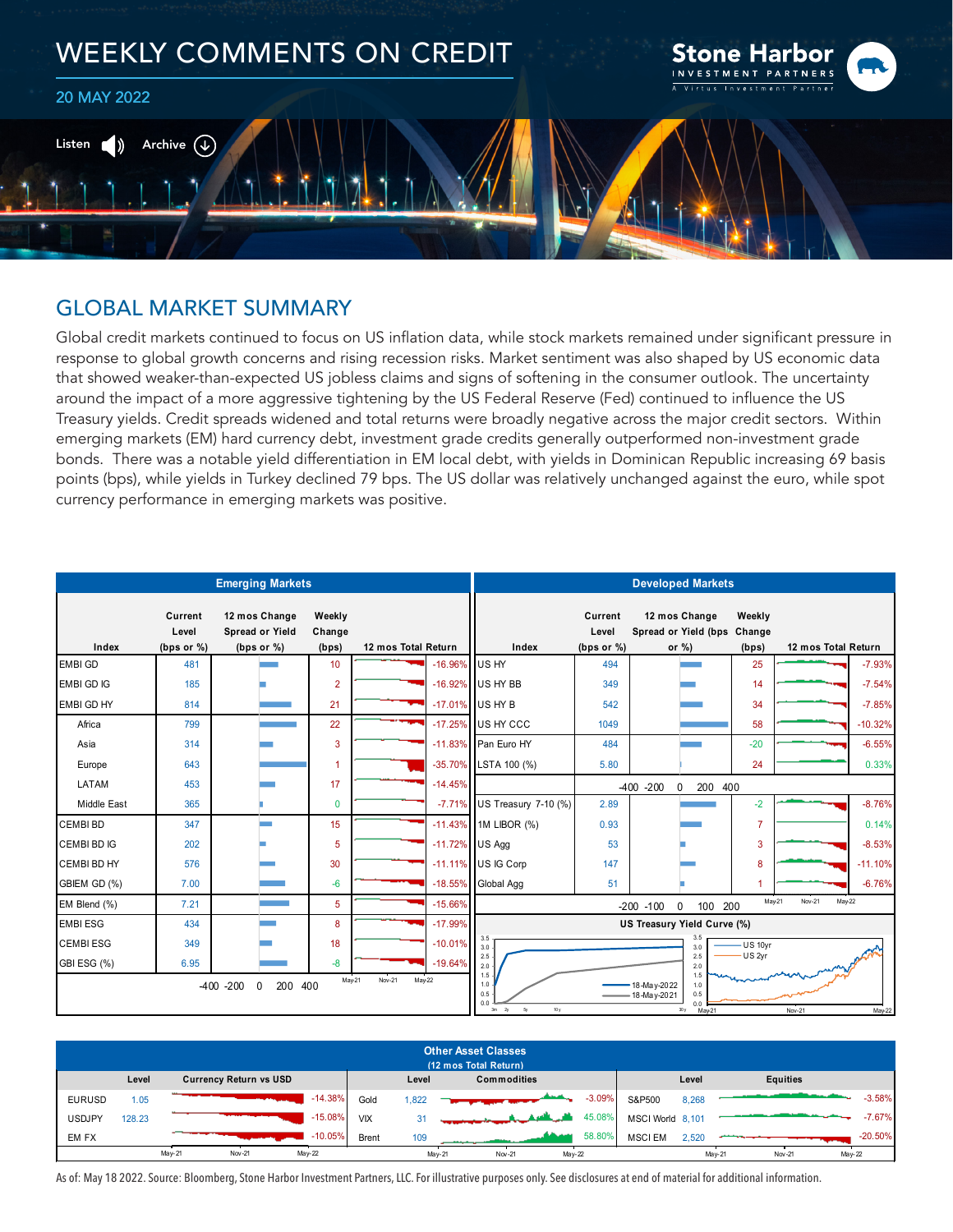

# GLOBAL MARKET SUMMARY

Global credit markets continued to focus on US inflation data, while stock markets remained under significant pressure in response to global growth concerns and rising recession risks. Market sentiment was also shaped by US economic data that showed weaker-than-expected US jobless claims and signs of softening in the consumer outlook. The uncertainty around the impact of a more aggressive tightening by the US Federal Reserve (Fed) continued to influence the US Treasury yields. Credit spreads widened and total returns were broadly negative across the major credit sectors. Within emerging markets (EM) hard currency debt, investment grade credits generally outperformed non-investment grade bonds. There was a notable yield differentiation in EM local debt, with yields in Dominican Republic increasing 69 basis points (bps), while yields in Turkey declined 79 bps. The US dollar was relatively unchanged against the euro, while spot currency performance in emerging markets was positive.

| <b>Emerging Markets</b>                                                |                                   |                                                   |                           |                     |            | <b>Developed Markets</b>                                                  |                                   |                                                                                    |                 |                     |           |  |  |  |  |
|------------------------------------------------------------------------|-----------------------------------|---------------------------------------------------|---------------------------|---------------------|------------|---------------------------------------------------------------------------|-----------------------------------|------------------------------------------------------------------------------------|-----------------|---------------------|-----------|--|--|--|--|
| Index                                                                  | Current<br>Level<br>(bps or $%$ ) | 12 mos Change<br>Spread or Yield<br>(bps or $%$ ) | Weekly<br>Change<br>(bps) | 12 mos Total Return |            | Index                                                                     | Current<br>Level<br>(bps or $%$ ) | 12 mos Change<br>Spread or Yield (bps Change<br>or $\%$ )                          | Weekly<br>(bps) | 12 mos Total Return |           |  |  |  |  |
| <b>EMBI GD</b>                                                         | 481                               |                                                   | 10 <sup>10</sup>          |                     | $-16.96\%$ | US HY                                                                     | 494                               |                                                                                    | 25              |                     | $-7.93%$  |  |  |  |  |
| EMBI GD IG                                                             | 185                               |                                                   | $\overline{2}$            |                     |            | -16.92% US HY BB                                                          | 349                               |                                                                                    | 14              |                     | $-7.54%$  |  |  |  |  |
| <b>EMBI GD HY</b>                                                      | 814                               |                                                   | 21                        |                     |            | -17.01% US HY B                                                           | 542                               |                                                                                    | 34              |                     | $-7.85%$  |  |  |  |  |
| Africa                                                                 | 799                               |                                                   | 22                        |                     |            | -17.25% US HY CCC                                                         | 1049                              |                                                                                    | 58              |                     | $-10.32%$ |  |  |  |  |
| Asia                                                                   | 314                               |                                                   | 3                         |                     |            | -11.83% Pan Euro HY                                                       | 484                               |                                                                                    | $-20$           |                     | $-6.55%$  |  |  |  |  |
| Europe                                                                 | 643                               |                                                   |                           |                     |            | -35.70% LSTA 100 (%)                                                      | 5.80                              |                                                                                    | 24              |                     | 0.33%     |  |  |  |  |
| LATAM                                                                  | 453                               |                                                   | 17                        |                     | $-14.45%$  |                                                                           | $-400 - 200$                      |                                                                                    |                 |                     |           |  |  |  |  |
| Middle East                                                            | 365                               |                                                   | $\mathbf{0}$              |                     |            | -7.71% US Treasury 7-10 (%)                                               | 2.89                              |                                                                                    | $-2$            |                     | $-8.76%$  |  |  |  |  |
| <b>CEMBI BD</b>                                                        | 347                               |                                                   | 15                        |                     |            | $-11.43\%$ 1M LIBOR (%)                                                   | 0.93                              |                                                                                    | 7               |                     | 0.14%     |  |  |  |  |
| CEMBI BD IG                                                            | 202                               |                                                   | 5                         |                     |            | -11.72% US Agg                                                            | 53                                |                                                                                    | 3               |                     | $-8.53%$  |  |  |  |  |
| CEMBI BD HY                                                            | 576                               |                                                   | 30                        |                     |            | -11.11% US IG Corp                                                        | 147                               |                                                                                    | 8               |                     | $-11.10%$ |  |  |  |  |
| GBIEM GD (%)                                                           | 7.00                              |                                                   | $-6$                      |                     |            | -18.55% Global Agg                                                        | 51                                |                                                                                    | -1              |                     | $-6.76%$  |  |  |  |  |
| EM Blend (%)                                                           | 7.21                              |                                                   | 5                         |                     | $-15.66%$  | Nov-21<br>May-22<br>May-21<br>$-200 - 100$<br>$\Omega$<br>100 200         |                                   |                                                                                    |                 |                     |           |  |  |  |  |
| <b>EMBI ESG</b>                                                        | 434                               |                                                   | 8                         |                     | $-17.99%$  | US Treasury Yield Curve (%)                                               |                                   |                                                                                    |                 |                     |           |  |  |  |  |
| <b>CEMBIESG</b>                                                        | 349                               |                                                   | 18                        |                     | $-10.01%$  | 3.5<br>3.5<br>US 10yr<br>3.0<br>3.0                                       |                                   |                                                                                    |                 |                     |           |  |  |  |  |
| GBI ESG (%)                                                            | 6.95                              |                                                   | $-8$                      |                     | $-19.64%$  | 2.5<br>2.0                                                                |                                   | 2.5<br>2.0                                                                         | US 2yr          |                     |           |  |  |  |  |
| May-21<br>Nov-21<br>$May-22$<br>200 400<br>$-400 - 200$<br>$\mathbf 0$ |                                   |                                                   |                           |                     |            | 1.5<br>1.0<br>0.5<br>0.0<br>$3\mathrm{m}$<br>6 <sub>V</sub><br>10 y<br>2y |                                   | 1.5<br>18-May-2022<br>1.0<br>0.5<br>18-May-2021<br>0 <sub>0</sub><br>30y<br>May-21 |                 | Nov-21              | May-22    |  |  |  |  |

| <b>Other Asset Classes</b><br>(12 mos Total Return) |        |                               |              |       |                                            |          |                  |       |                            |           |
|-----------------------------------------------------|--------|-------------------------------|--------------|-------|--------------------------------------------|----------|------------------|-------|----------------------------|-----------|
|                                                     | Level  | <b>Currency Return vs USD</b> |              | Level | <b>Commodities</b>                         |          |                  | Level | Equities                   |           |
| <b>EURUSD</b>                                       | 1.05   | $-14.38%$                     | Gold         | ,822  |                                            | $-3.09%$ | S&P500           | 8,268 |                            | $-3.58%$  |
| <b>USDJPY</b>                                       | 128.23 | $-15.08%$                     | <b>VIX</b>   | 31    | $\mathbf{A}$ , $\mathbf{B}^{\mathbf{r}}$ , | 45.08%   | MSCI World 8,101 |       |                            | $-7.67%$  |
| EM FX                                               |        | $-10.05%$                     | <b>Brent</b> | 109   | سدهه                                       | 58.80%   | <b>MSCIEM</b>    | 2.520 |                            | $-20.50%$ |
|                                                     |        | $May-21$<br>May-22<br>Nov-21  |              |       | May-21<br>May-22<br>Nov-21                 |          |                  |       | May-22<br>May-21<br>Nov-21 |           |

As of: May 18 2022. Source: Bloomberg, Stone Harbor Investment Partners, LLC. For illustrative purposes only. See disclosures at end of material for additional information.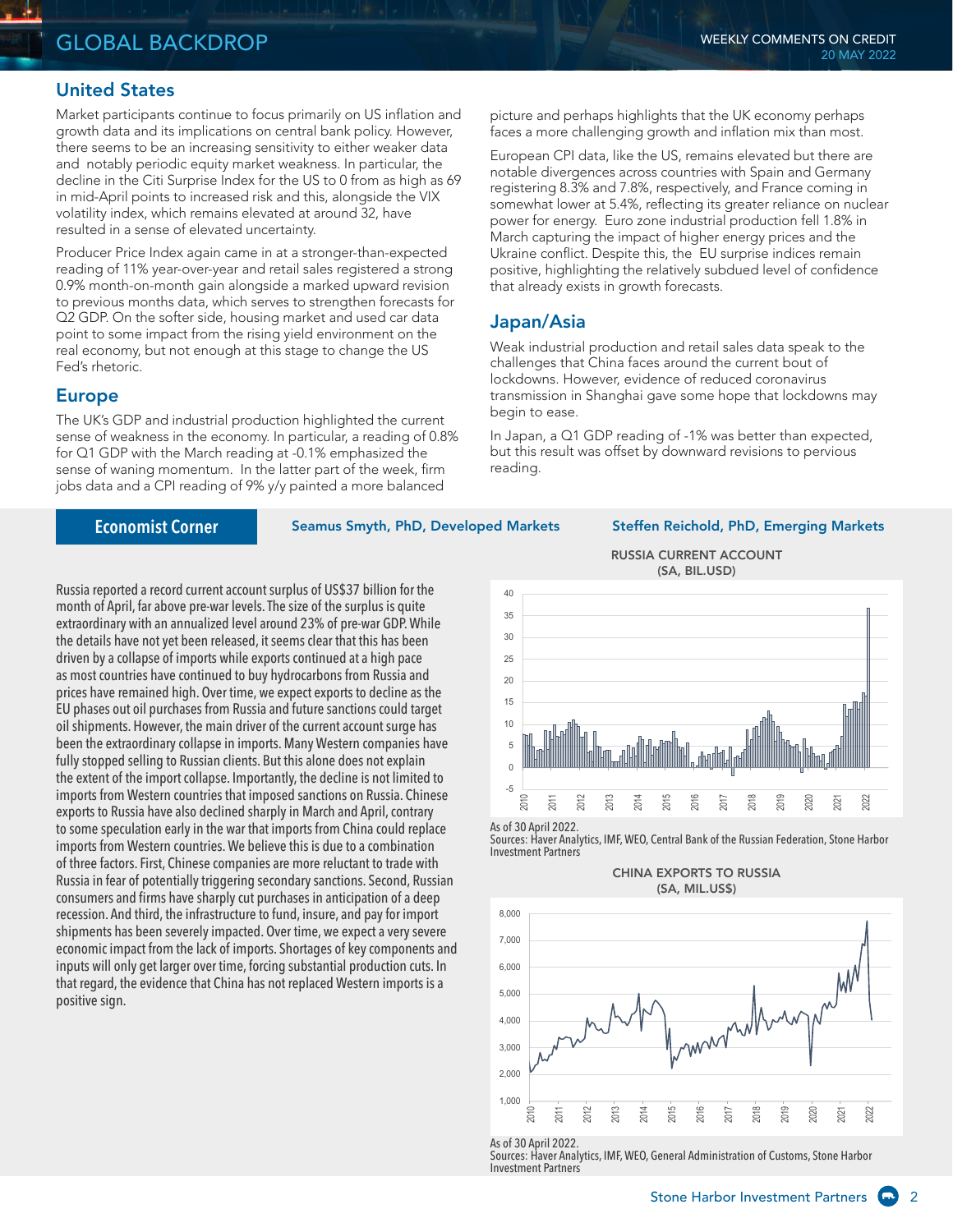#### United States

Market participants continue to focus primarily on US inflation and growth data and its implications on central bank policy. However, there seems to be an increasing sensitivity to either weaker data and notably periodic equity market weakness. In particular, the decline in the Citi Surprise Index for the US to 0 from as high as 69 in mid-April points to increased risk and this, alongside the VIX volatility index, which remains elevated at around 32, have resulted in a sense of elevated uncertainty.

Producer Price Index again came in at a stronger-than-expected reading of 11% year-over-year and retail sales registered a strong 0.9% month-on-month gain alongside a marked upward revision to previous months data, which serves to strengthen forecasts for Q2 GDP. On the softer side, housing market and used car data point to some impact from the rising yield environment on the real economy, but not enough at this stage to change the US Fed's rhetoric.

#### Europe

The UK's GDP and industrial production highlighted the current sense of weakness in the economy. In particular, a reading of 0.8% for Q1 GDP with the March reading at -0.1% emphasized the sense of waning momentum. In the latter part of the week, firm jobs data and a CPI reading of 9% y/y painted a more balanced

**Economist Corner**

Seamus Smyth, PhD, Developed Markets Steffen Reichold, PhD, Emerging Markets

Russia reported a record current account surplus of US\$37 billion for the month of April, far above pre-war levels. The size of the surplus is quite extraordinary with an annualized level around 23% of pre-war GDP. While the details have not yet been released, it seems clear that this has been driven by a collapse of imports while exports continued at a high pace as most countries have continued to buy hydrocarbons from Russia and prices have remained high. Over time, we expect exports to decline as the EU phases out oil purchases from Russia and future sanctions could target oil shipments. However, the main driver of the current account surge has been the extraordinary collapse in imports. Many Western companies have fully stopped selling to Russian clients. But this alone does not explain the extent of the import collapse. Importantly, the decline is not limited to imports from Western countries that imposed sanctions on Russia. Chinese exports to Russia have also declined sharply in March and April, contrary to some speculation early in the war that imports from China could replace imports from Western countries. We believe this is due to a combination of three factors. First, Chinese companies are more reluctant to trade with Russia in fear of potentially triggering secondary sanctions. Second, Russian consumers and firms have sharply cut purchases in anticipation of a deep recession. And third, the infrastructure to fund, insure, and pay for import shipments has been severely impacted. Over time, we expect a very severe economic impact from the lack of imports. Shortages of key components and inputs will only get larger over time, forcing substantial production cuts. In that regard, the evidence that China has not replaced Western imports is a positive sign.

RUSSIA CURRENT ACCOUNT (SA, BIL.USD)

picture and perhaps highlights that the UK economy perhaps faces a more challenging growth and inflation mix than most. European CPI data, like the US, remains elevated but there are notable divergences across countries with Spain and Germany registering 8.3% and 7.8%, respectively, and France coming in somewhat lower at 5.4%, reflecting its greater reliance on nuclear power for energy. Euro zone industrial production fell 1.8% in March capturing the impact of higher energy prices and the Ukraine conflict. Despite this, the EU surprise indices remain positive, highlighting the relatively subdued level of confidence

Weak industrial production and retail sales data speak to the challenges that China faces around the current bout of lockdowns. However, evidence of reduced coronavirus transmission in Shanghai gave some hope that lockdowns may

In Japan, a Q1 GDP reading of -1% was better than expected, but this result was offset by downward revisions to pervious

that already exists in growth forecasts.

Japan/Asia

begin to ease.

reading.



As of 30 April 2022.

Sources: Haver Analytics, IMF, WEO, Central Bank of the Russian Federation, Stone Harbor Investment Partners

CHINA EXPORTS TO RUSSIA (SA, MIL.US\$)



As of 30 April 2022.

Sources: Haver Analytics, IMF, WEO, General Administration of Customs, Stone Harbor Investment Partners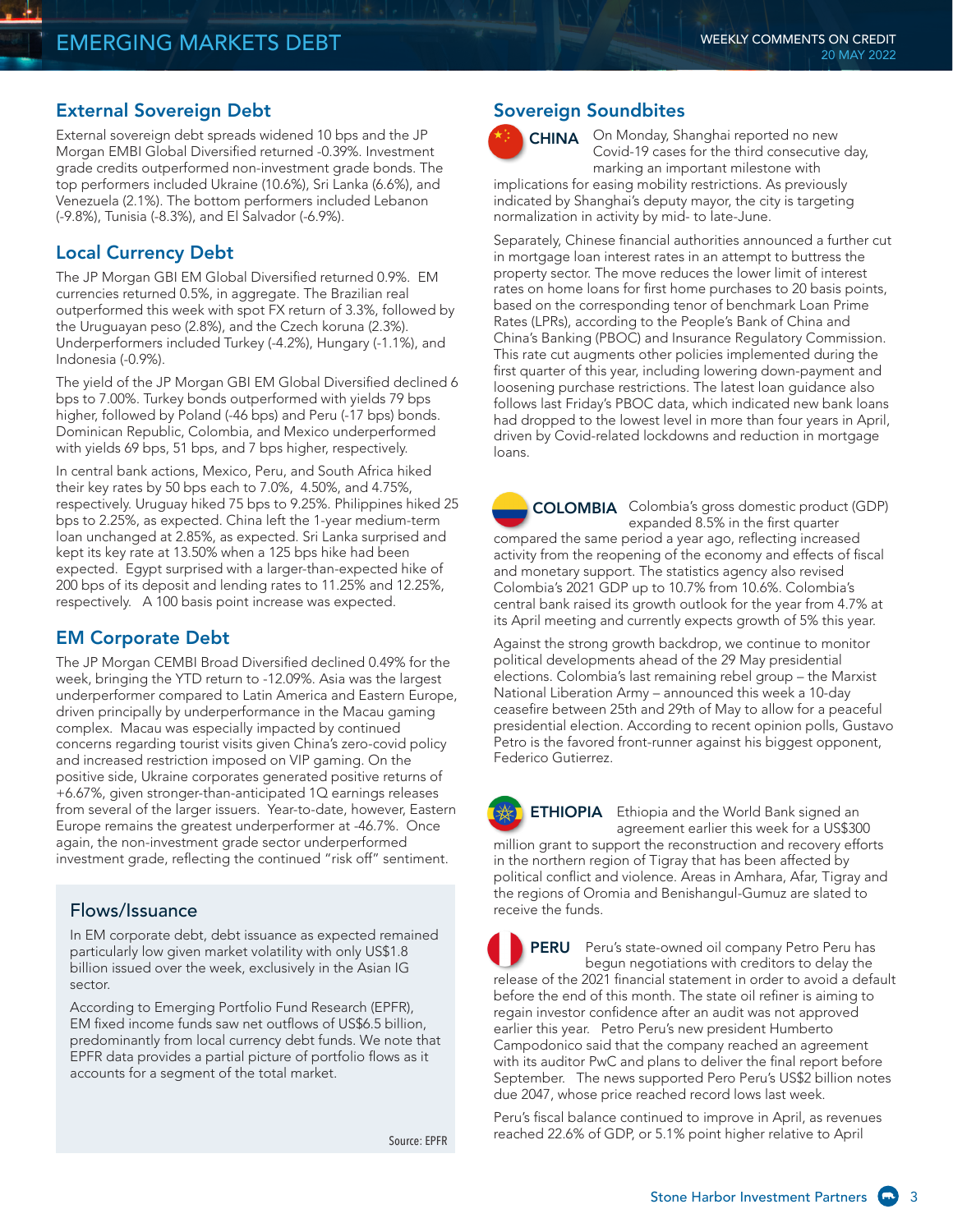#### External Sovereign Debt

External sovereign debt spreads widened 10 bps and the JP Morgan EMBI Global Diversified returned -0.39%. Investment grade credits outperformed non-investment grade bonds. The top performers included Ukraine (10.6%), Sri Lanka (6.6%), and Venezuela (2.1%). The bottom performers included Lebanon (-9.8%), Tunisia (-8.3%), and El Salvador (-6.9%).

#### Local Currency Debt

The JP Morgan GBI EM Global Diversified returned 0.9%. EM currencies returned 0.5%, in aggregate. The Brazilian real outperformed this week with spot FX return of 3.3%, followed by the Uruguayan peso (2.8%), and the Czech koruna (2.3%). Underperformers included Turkey (-4.2%), Hungary (-1.1%), and Indonesia (-0.9%).

The yield of the JP Morgan GBI EM Global Diversified declined 6 bps to 7.00%. Turkey bonds outperformed with yields 79 bps higher, followed by Poland (-46 bps) and Peru (-17 bps) bonds. Dominican Republic, Colombia, and Mexico underperformed with yields 69 bps, 51 bps, and 7 bps higher, respectively.

In central bank actions, Mexico, Peru, and South Africa hiked their key rates by 50 bps each to 7.0%, 4.50%, and 4.75%, respectively. Uruguay hiked 75 bps to 9.25%. Philippines hiked 25 bps to 2.25%, as expected. China left the 1-year medium-term loan unchanged at 2.85%, as expected. Sri Lanka surprised and kept its key rate at 13.50% when a 125 bps hike had been expected. Egypt surprised with a larger-than-expected hike of 200 bps of its deposit and lending rates to 11.25% and 12.25%, respectively. A 100 basis point increase was expected.

## EM Corporate Debt

The JP Morgan CEMBI Broad Diversified declined 0.49% for the week, bringing the YTD return to -12.09%. Asia was the largest underperformer compared to Latin America and Eastern Europe, driven principally by underperformance in the Macau gaming complex. Macau was especially impacted by continued concerns regarding tourist visits given China's zero-covid policy and increased restriction imposed on VIP gaming. On the positive side, Ukraine corporates generated positive returns of +6.67%, given stronger-than-anticipated 1Q earnings releases from several of the larger issuers. Year-to-date, however, Eastern Europe remains the greatest underperformer at -46.7%. Once again, the non-investment grade sector underperformed investment grade, reflecting the continued "risk off" sentiment.

#### Flows/Issuance

In EM corporate debt, debt issuance as expected remained particularly low given market volatility with only US\$1.8 billion issued over the week, exclusively in the Asian IG sector.

According to Emerging Portfolio Fund Research (EPFR), EM fixed income funds saw net outflows of US\$6.5 billion, predominantly from local currency debt funds. We note that EPFR data provides a partial picture of portfolio flows as it accounts for a segment of the total market.

Source: EPFR

#### Sovereign Soundbites



CHINA On Monday, Shanghai reported no new Covid-19 cases for the third consecutive day, marking an important milestone with implications for easing mobility restrictions. As previously

indicated by Shanghai's deputy mayor, the city is targeting normalization in activity by mid- to late-June.

Separately, Chinese financial authorities announced a further cut in mortgage loan interest rates in an attempt to buttress the property sector. The move reduces the lower limit of interest rates on home loans for first home purchases to 20 basis points, based on the corresponding tenor of benchmark Loan Prime Rates (LPRs), according to the People's Bank of China and China's Banking (PBOC) and Insurance Regulatory Commission. This rate cut augments other policies implemented during the first quarter of this year, including lowering down-payment and loosening purchase restrictions. The latest loan guidance also follows last Friday's PBOC data, which indicated new bank loans had dropped to the lowest level in more than four years in April, driven by Covid-related lockdowns and reduction in mortgage loans.

Colombia's gross domestic product (GDP) COLOMBIA expanded 8.5% in the first quarter compared the same period a year ago, reflecting increased activity from the reopening of the economy and effects of fiscal and monetary support. The statistics agency also revised Colombia's 2021 GDP up to 10.7% from 10.6%. Colombia's central bank raised its growth outlook for the year from 4.7% at its April meeting and currently expects growth of 5% this year.

Against the strong growth backdrop, we continue to monitor political developments ahead of the 29 May presidential elections. Colombia's last remaining rebel group – the Marxist National Liberation Army – announced this week a 10-day ceasefire between 25th and 29th of May to allow for a peaceful presidential election. According to recent opinion polls, Gustavo Petro is the favored front-runner against his biggest opponent, Federico Gutierrez.

**ETHIOPIA** Ethiopia and the World Bank signed an agreement earlier this week for a US\$300 million grant to support the reconstruction and recovery efforts in the northern region of Tigray that has been affected by political conflict and violence. Areas in Amhara, Afar, Tigray and the regions of Oromia and Benishangul-Gumuz are slated to receive the funds.

Peru's state-owned oil company Petro Peru has begun negotiations with creditors to delay the release of the 2021 financial statement in order to avoid a default before the end of this month. The state oil refiner is aiming to regain investor confidence after an audit was not approved earlier this year. Petro Peru's new president Humberto Campodonico said that the company reached an agreement with its auditor PwC and plans to deliver the final report before September. The news supported Pero Peru's US\$2 billion notes due 2047, whose price reached record lows last week. PERU

Peru's fiscal balance continued to improve in April, as revenues reached 22.6% of GDP, or 5.1% point higher relative to April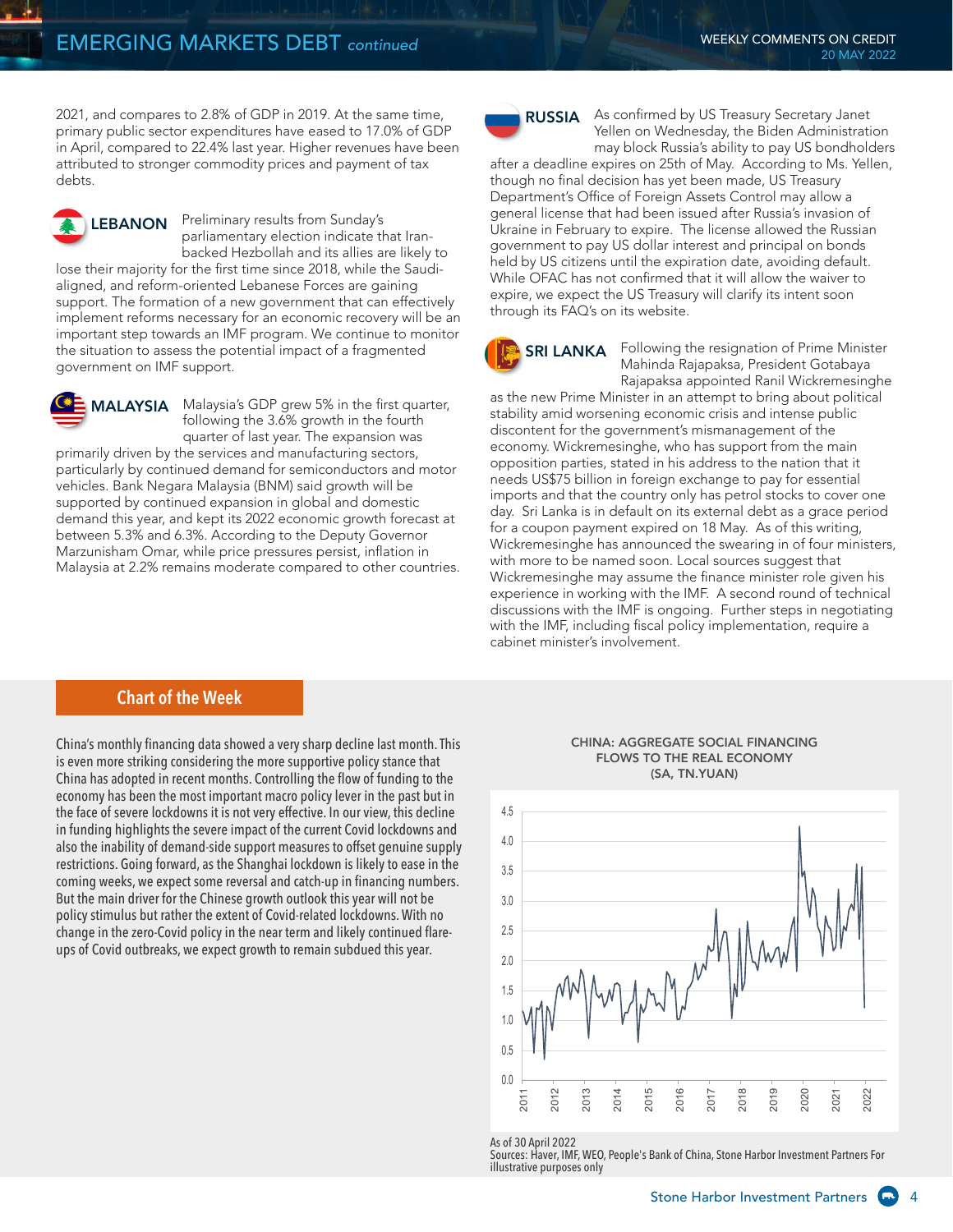2021, and compares to 2.8% of GDP in 2019. At the same time, primary public sector expenditures have eased to 17.0% of GDP in April, compared to 22.4% last year. Higher revenues have been attributed to stronger commodity prices and payment of tax debts.

LEBANON Preliminary results from Sunday's parliamentary election indicate that Iranbacked Hezbollah and its allies are likely to

lose their majority for the first time since 2018, while the Saudialigned, and reform-oriented Lebanese Forces are gaining support. The formation of a new government that can effectively implement reforms necessary for an economic recovery will be an important step towards an IMF program. We continue to monitor the situation to assess the potential impact of a fragmented government on IMF support.

**MALAYSIA** Malaysia's GDP grew 5% in the first quarter, following the 3.6% growth in the fourth quarter of last year. The expansion was

primarily driven by the services and manufacturing sectors, particularly by continued demand for semiconductors and motor vehicles. Bank Negara Malaysia (BNM) said growth will be supported by continued expansion in global and domestic demand this year, and kept its 2022 economic growth forecast at between 5.3% and 6.3%. According to the Deputy Governor Marzunisham Omar, while price pressures persist, inflation in Malaysia at 2.2% remains moderate compared to other countries.



**RUSSIA** As confirmed by US Treasury Secretary Janet Yellen on Wednesday, the Biden Administration may block Russia's ability to pay US bondholders

after a deadline expires on 25th of May. According to Ms. Yellen, though no final decision has yet been made, US Treasury Department's Office of Foreign Assets Control may allow a general license that had been issued after Russia's invasion of Ukraine in February to expire. The license allowed the Russian government to pay US dollar interest and principal on bonds held by US citizens until the expiration date, avoiding default. While OFAC has not confirmed that it will allow the waiver to expire, we expect the US Treasury will clarify its intent soon through its FAQ's on its website.

**SRI LANKA** Following the resignation of Prime Minister Mahinda Rajapaksa, President Gotabaya Rajapaksa appointed Ranil Wickremesinghe

as the new Prime Minister in an attempt to bring about political stability amid worsening economic crisis and intense public discontent for the government's mismanagement of the economy. Wickremesinghe, who has support from the main opposition parties, stated in his address to the nation that it needs US\$75 billion in foreign exchange to pay for essential imports and that the country only has petrol stocks to cover one day. Sri Lanka is in default on its external debt as a grace period for a coupon payment expired on 18 May. As of this writing, Wickremesinghe has announced the swearing in of four ministers, with more to be named soon. Local sources suggest that Wickremesinghe may assume the finance minister role given his experience in working with the IMF. A second round of technical discussions with the IMF is ongoing. Further steps in negotiating with the IMF, including fiscal policy implementation, require a cabinet minister's involvement.

#### **Chart of the Week**

China's monthly financing data showed a very sharp decline last month. This is even more striking considering the more supportive policy stance that China has adopted in recent months. Controlling the flow of funding to the economy has been the most important macro policy lever in the past but in the face of severe lockdowns it is not very effective. In our view, this decline in funding highlights the severe impact of the current Covid lockdowns and also the inability of demand-side support measures to offset genuine supply restrictions. Going forward, as the Shanghai lockdown is likely to ease in the coming weeks, we expect some reversal and catch-up in financing numbers. But the main driver for the Chinese growth outlook this year will not be policy stimulus but rather the extent of Covid-related lockdowns. With no change in the zero-Covid policy in the near term and likely continued flareups of Covid outbreaks, we expect growth to remain subdued this year.

#### CHINA: AGGREGATE SOCIAL FINANCING FLOWS TO THE REAL ECONOMY (SA, TN.YUAN)



As of 30 April 2022

Sources: Haver, IMF, WEO, People's Bank of China, Stone Harbor Investment Partners For illustrative purposes only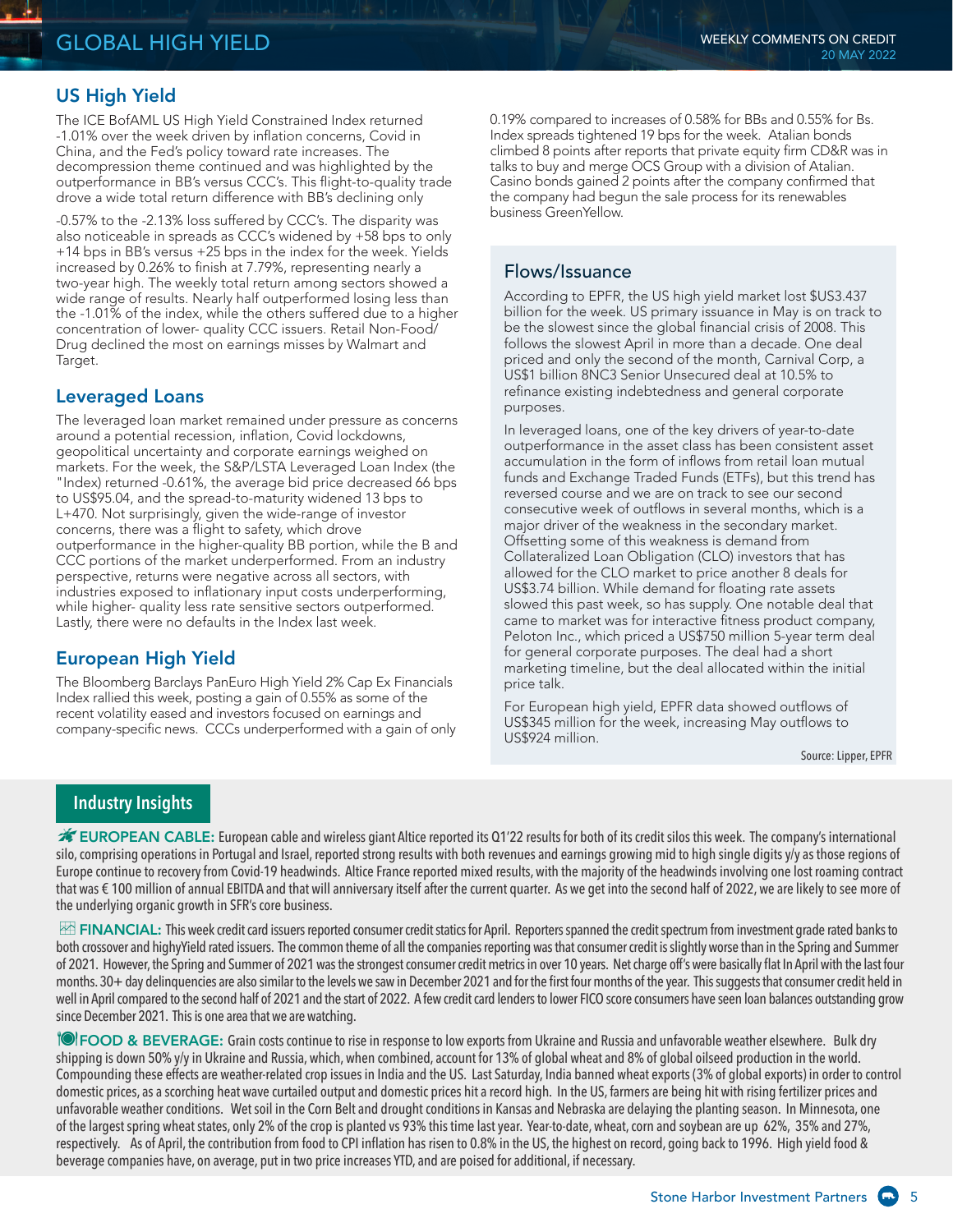# US High Yield

The ICE BofAML US High Yield Constrained Index returned -1.01% over the week driven by inflation concerns, Covid in China, and the Fed's policy toward rate increases. The decompression theme continued and was highlighted by the outperformance in BB's versus CCC's. This flight-to-quality trade drove a wide total return difference with BB's declining only

-0.57% to the -2.13% loss suffered by CCC's. The disparity was also noticeable in spreads as CCC's widened by +58 bps to only +14 bps in BB's versus +25 bps in the index for the week. Yields increased by 0.26% to finish at 7.79%, representing nearly a two-year high. The weekly total return among sectors showed a wide range of results. Nearly half outperformed losing less than the -1.01% of the index, while the others suffered due to a higher concentration of lower- quality CCC issuers. Retail Non-Food/ Drug declined the most on earnings misses by Walmart and Target.

## Leveraged Loans

The leveraged loan market remained under pressure as concerns around a potential recession, inflation, Covid lockdowns, geopolitical uncertainty and corporate earnings weighed on markets. For the week, the S&P/LSTA Leveraged Loan Index (the "Index) returned -0.61%, the average bid price decreased 66 bps to US\$95.04, and the spread-to-maturity widened 13 bps to L+470. Not surprisingly, given the wide-range of investor concerns, there was a flight to safety, which drove outperformance in the higher-quality BB portion, while the B and CCC portions of the market underperformed. From an industry perspective, returns were negative across all sectors, with industries exposed to inflationary input costs underperforming, while higher- quality less rate sensitive sectors outperformed. Lastly, there were no defaults in the Index last week.

# European High Yield

The Bloomberg Barclays PanEuro High Yield 2% Cap Ex Financials Index rallied this week, posting a gain of 0.55% as some of the recent volatility eased and investors focused on earnings and company-specific news. CCCs underperformed with a gain of only 0.19% compared to increases of 0.58% for BBs and 0.55% for Bs. Index spreads tightened 19 bps for the week. Atalian bonds climbed 8 points after reports that private equity firm CD&R was in talks to buy and merge OCS Group with a division of Atalian. Casino bonds gained 2 points after the company confirmed that the company had begun the sale process for its renewables business GreenYellow.

## Flows/Issuance

According to EPFR, the US high yield market lost \$US3.437 billion for the week. US primary issuance in May is on track to be the slowest since the global financial crisis of 2008. This follows the slowest April in more than a decade. One deal priced and only the second of the month, Carnival Corp, a US\$1 billion 8NC3 Senior Unsecured deal at 10.5% to refinance existing indebtedness and general corporate purposes.

In leveraged loans, one of the key drivers of year-to-date outperformance in the asset class has been consistent asset accumulation in the form of inflows from retail loan mutual funds and Exchange Traded Funds (ETFs), but this trend has reversed course and we are on track to see our second consecutive week of outflows in several months, which is a major driver of the weakness in the secondary market. Offsetting some of this weakness is demand from Collateralized Loan Obligation (CLO) investors that has allowed for the CLO market to price another 8 deals for US\$3.74 billion. While demand for floating rate assets slowed this past week, so has supply. One notable deal that came to market was for interactive fitness product company, Peloton Inc., which priced a US\$750 million 5-year term deal for general corporate purposes. The deal had a short marketing timeline, but the deal allocated within the initial price talk.

For European high yield, EPFR data showed outflows of US\$345 million for the week, increasing May outflows to US\$924 million.

Source: Lipper, EPFR

## **Industry Insights**

EUROPEAN CABLE: European cable and wireless giant Altice reported its Q1'22 results for both of its credit silos this week. The company's international silo, comprising operations in Portugal and Israel, reported strong results with both revenues and earnings growing mid to high single digits y/y as those regions of Europe continue to recovery from Covid-19 headwinds. Altice France reported mixed results, with the majority of the headwinds involving one lost roaming contract that was € 100 million of annual EBITDA and that will anniversary itself after the current quarter. As we get into the second half of 2022, we are likely to see more of the underlying organic growth in SFR's core business.

FINANCIAL: This week credit card issuers reported consumer credit statics for April. Reporters spanned the credit spectrum from investment grade rated banks to both crossover and highyYield rated issuers. The common theme of all the companies reporting was that consumer credit is slightly worse than in the Spring and Summer of 2021. However, the Spring and Summer of 2021 was the strongest consumer credit metrics in over 10 years. Net charge off's were basically flat In April with the last four months. 30+ day delinguencies are also similar to the levels we saw in December 2021 and for the first four months of the year. This suggests that consumer credit held in well in April compared to the second half of 2021 and the start of 2022. A few credit card lenders to lower FICO score consumers have seen loan balances outstanding grow since December 2021. This is one area that we are watching.

**PEOOD & BEVERAGE:** Grain costs continue to rise in response to low exports from Ukraine and Russia and unfavorable weather elsewhere. Bulk dry shipping is down 50% y/y in Ukraine and Russia, which, when combined, account for 13% of global wheat and 8% of global oilseed production in the world. Compounding these effects are weather-related crop issues in India and the US. Last Saturday, India banned wheat exports (3% of global exports) in order to control domestic prices, as a scorching heat wave curtailed output and domestic prices hit a record high. In the US, farmers are being hit with rising fertilizer prices and unfavorable weather conditions. Wet soil in the Corn Belt and drought conditions in Kansas and Nebraska are delaying the planting season. In Minnesota, one of the largest spring wheat states, only 2% of the crop is planted vs 93% this time last year. Year-to-date, wheat, corn and soybean are up 62%, 35% and 27%, respectively. As of April, the contribution from food to CPI inflation has risen to 0.8% in the US, the highest on record, going back to 1996. High yield food & beverage companies have, on average, put in two price increases YTD, and are poised for additional, if necessary.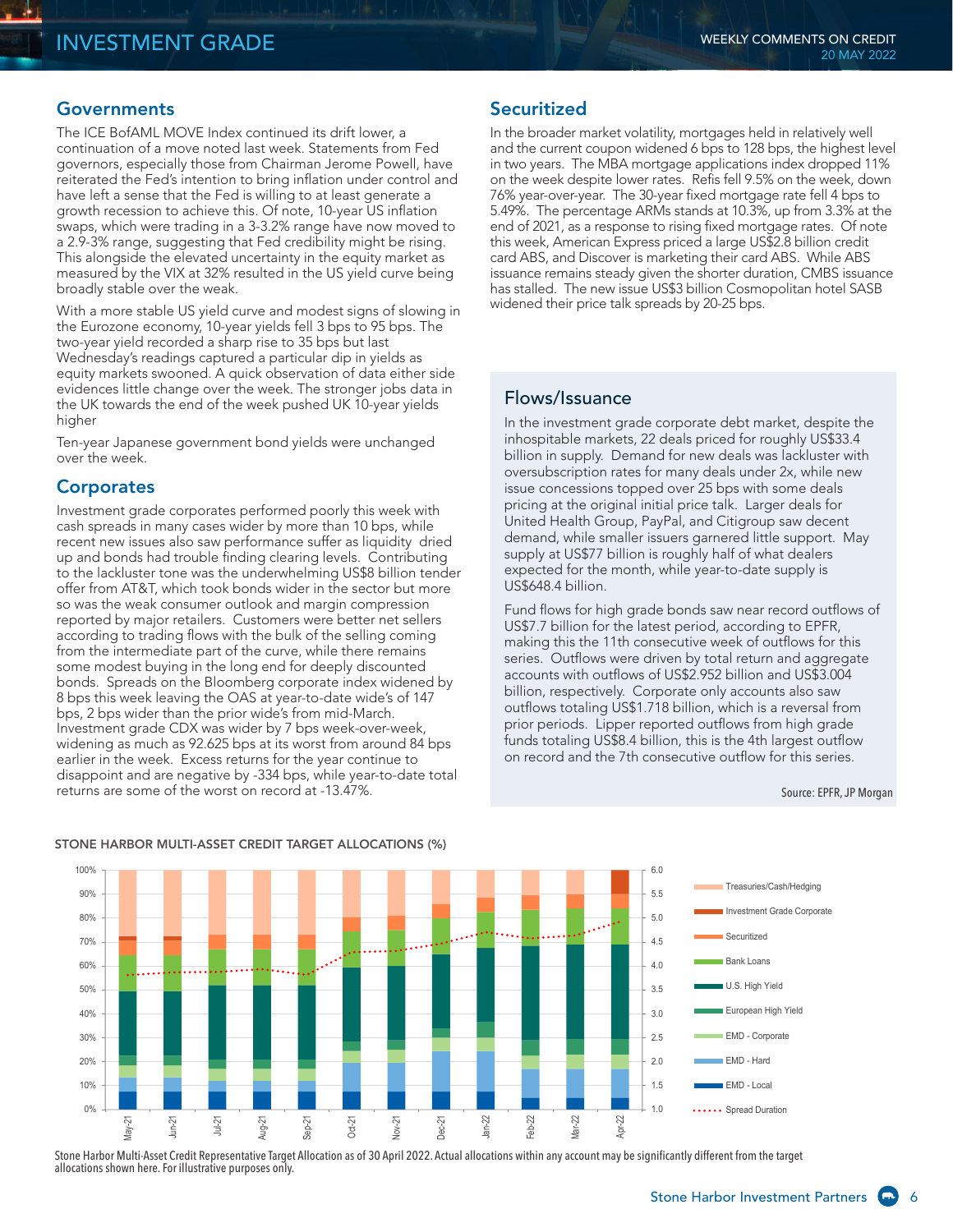#### **Governments**

The ICE BofAML MOVE Index continued its drift lower, a continuation of a move noted last week. Statements from Fed governors, especially those from Chairman Jerome Powell, have reiterated the Fed's intention to bring inflation under control and have left a sense that the Fed is willing to at least generate a growth recession to achieve this. Of note, 10-year US inflation swaps, which were trading in a 3-3.2% range have now moved to a 2.9-3% range, suggesting that Fed credibility might be rising. This alongside the elevated uncertainty in the equity market as measured by the VIX at 32% resulted in the US yield curve being broadly stable over the weak.

With a more stable US yield curve and modest signs of slowing in the Eurozone economy, 10-year yields fell 3 bps to 95 bps. The two-year yield recorded a sharp rise to 35 bps but last Wednesday's readings captured a particular dip in yields as equity markets swooned. A quick observation of data either side evidences little change over the week. The stronger jobs data in the UK towards the end of the week pushed UK 10-year yields higher

Ten-year Japanese government bond yields were unchanged over the week.

#### **Corporates**

Investment grade corporates performed poorly this week with cash spreads in many cases wider by more than 10 bps, while recent new issues also saw performance suffer as liquidity dried up and bonds had trouble finding clearing levels. Contributing to the lackluster tone was the underwhelming US\$8 billion tender offer from AT&T, which took bonds wider in the sector but more so was the weak consumer outlook and margin compression reported by major retailers. Customers were better net sellers according to trading flows with the bulk of the selling coming from the intermediate part of the curve, while there remains some modest buying in the long end for deeply discounted bonds. Spreads on the Bloomberg corporate index widened by 8 bps this week leaving the OAS at year-to-date wide's of 147 bps, 2 bps wider than the prior wide's from mid-March. Investment grade CDX was wider by 7 bps week-over-week, widening as much as 92.625 bps at its worst from around 84 bps earlier in the week. Excess returns for the year continue to disappoint and are negative by -334 bps, while year-to-date total returns are some of the worst on record at -13.47%.

STONE HARBOR MULTI-ASSET CREDIT TARGET ALLOCATIONS (%)

#### **Securitized**

In the broader market volatility, mortgages held in relatively well and the current coupon widened 6 bps to 128 bps, the highest level in two years. The MBA mortgage applications index dropped 11% on the week despite lower rates. Refis fell 9.5% on the week, down 76% year-over-year. The 30-year fixed mortgage rate fell 4 bps to 5.49%. The percentage ARMs stands at 10.3%, up from 3.3% at the end of 2021, as a response to rising fixed mortgage rates. Of note this week, American Express priced a large US\$2.8 billion credit card ABS, and Discover is marketing their card ABS. While ABS issuance remains steady given the shorter duration, CMBS issuance has stalled. The new issue US\$3 billion Cosmopolitan hotel SASB widened their price talk spreads by 20-25 bps.

#### Flows/Issuance

In the investment grade corporate debt market, despite the inhospitable markets, 22 deals priced for roughly US\$33.4 billion in supply. Demand for new deals was lackluster with oversubscription rates for many deals under 2x, while new issue concessions topped over 25 bps with some deals pricing at the original initial price talk. Larger deals for United Health Group, PayPal, and Citigroup saw decent demand, while smaller issuers garnered little support. May supply at US\$77 billion is roughly half of what dealers expected for the month, while year-to-date supply is US\$648.4 billion.

Fund flows for high grade bonds saw near record outflows of US\$7.7 billion for the latest period, according to EPFR, making this the 11th consecutive week of outflows for this series. Outflows were driven by total return and aggregate accounts with outflows of US\$2.952 billion and US\$3.004 billion, respectively. Corporate only accounts also saw outflows totaling US\$1.718 billion, which is a reversal from prior periods. Lipper reported outflows from high grade funds totaling US\$8.4 billion, this is the 4th largest outflow on record and the 7th consecutive outflow for this series.

Source: EPFR, JP Morgan



#### Stone Harbor Multi-Asset Credit Representative Target Allocation as of 30 April 2022. Actual allocations within any account may be significantly different from the target allocations shown here. For illustrative purposes only.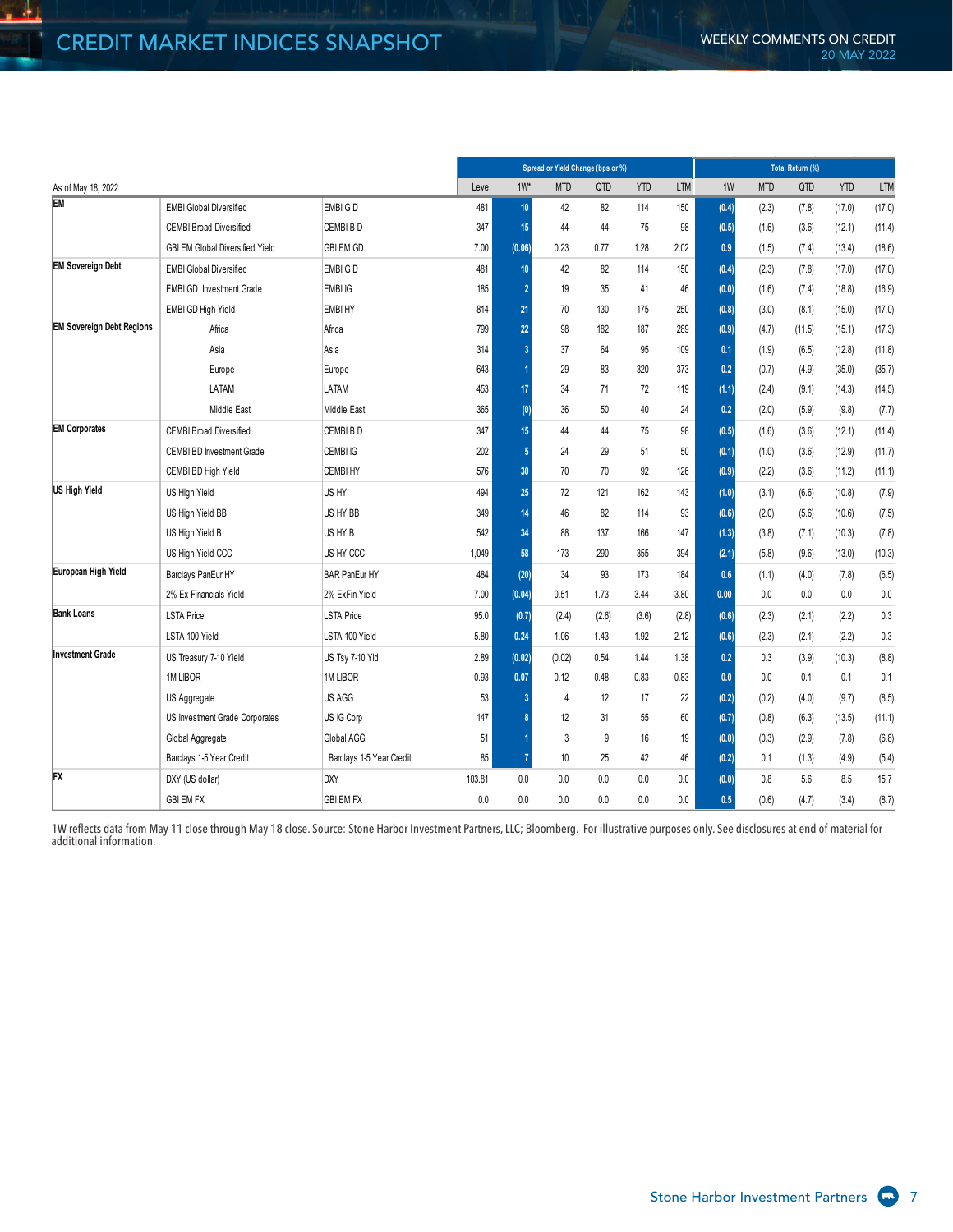$\frac{1}{2}$ 

|                                  |                                        |                          |        | Spread or Yield Change (bps or %) |            |       |            |            | Total Return (%) |            |        |            |            |  |
|----------------------------------|----------------------------------------|--------------------------|--------|-----------------------------------|------------|-------|------------|------------|------------------|------------|--------|------------|------------|--|
| As of May 18, 2022               |                                        |                          | Level  | $1W^*$                            | <b>MTD</b> | QTD   | <b>YTD</b> | <b>LTM</b> | 1W               | <b>MTD</b> | QTD    | <b>YTD</b> | <b>LTM</b> |  |
| EM                               | <b>EMBI Global Diversified</b>         | EMBI G D                 | 481    | 10 <sub>1</sub>                   | 42         | 82    | 114        | 150        | (0.4)            | (2.3)      | (7.8)  | (17.0)     | (17.0)     |  |
|                                  | <b>CEMBI Broad Diversified</b>         | CEMBIBD                  | 347    | 15                                | 44         | 44    | 75         | 98         | (0.5)            | (1.6)      | (3.6)  | (12.1)     | (11.4)     |  |
|                                  | <b>GBI EM Global Diversified Yield</b> | <b>GBI EM GD</b>         | 7.00   | (0.06)                            | 0.23       | 0.77  | 1.28       | 2.02       | 0.9              | (1.5)      | (7.4)  | (13.4)     | (18.6)     |  |
| <b>EM Sovereian Debt</b>         | <b>EMBI Global Diversified</b>         | EMBI G D                 | 481    | 10                                | 42         | 82    | 114        | 150        | (0.4)            | (2.3)      | (7.8)  | (17.0)     | (17.0)     |  |
|                                  | <b>EMBI GD</b> Investment Grade        | EMBI IG                  | 185    | $\overline{2}$                    | 19         | 35    | 41         | 46         | (0.0)            | (1.6)      | (7.4)  | (18.8)     | (16.9)     |  |
|                                  | EMBI GD High Yield                     | <b>EMBI HY</b>           | 814    | 21                                | 70         | 130   | 175        | 250        | (0.8)            | (3.0)      | (8.1)  | (15.0)     | (17.0)     |  |
| <b>EM Sovereign Debt Regions</b> | Africa                                 | Africa                   | 799    | 22                                | 98         | 182   | 187        | 289        | (0.9)            | (4.7)      | (11.5) | (15.1)     | (17.3)     |  |
|                                  | Asia                                   | Asia                     | 314    | 3                                 | 37         | 64    | 95         | 109        | 0.1              | (1.9)      | (6.5)  | (12.8)     | (11.8)     |  |
|                                  | Europe                                 | Europe                   | 643    |                                   | 29         | 83    | 320        | 373        | 0.2              | (0.7)      | (4.9)  | (35.0)     | (35.7)     |  |
|                                  | LATAM                                  | LATAM                    | 453    | 17 <sup>2</sup>                   | 34         | 71    | 72         | 119        | (1.1)            | (2.4)      | (9.1)  | (14.3)     | (14.5)     |  |
|                                  | Middle East                            | Middle East              | 365    | (0)                               | 36         | 50    | 40         | 24         | 0.2              | (2.0)      | (5.9)  | (9.8)      | (7.7)      |  |
| <b>EM Corporates</b>             | <b>CEMBI Broad Diversified</b>         | CEMBIBD                  | 347    | 15                                | 44         | 44    | 75         | 98         | (0.5)            | (1.6)      | (3.6)  | (12.1)     | (11.4)     |  |
|                                  | CEMBI BD Investment Grade              | CEMBI IG                 | 202    | $\overline{5}$                    | 24         | 29    | 51         | 50         | (0.1)            | (1.0)      | (3.6)  | (12.9)     | (11.7)     |  |
|                                  | CEMBI BD High Yield                    | <b>CEMBI HY</b>          | 576    | 30                                | 70         | 70    | 92         | 126        | (0.9)            | (2.2)      | (3.6)  | (11.2)     | (11.1)     |  |
| US High Yield                    | US High Yield                          | US HY                    | 494    | 25                                | 72         | 121   | 162        | 143        | (1.0)            | (3.1)      | (6.6)  | (10.8)     | (7.9)      |  |
|                                  | US High Yield BB                       | US HY BB                 | 349    | 14                                | 46         | 82    | 114        | 93         | (0.6)            | (2.0)      | (5.6)  | (10.6)     | (7.5)      |  |
|                                  | US High Yield B                        | US HY B                  | 542    | 34                                | 88         | 137   | 166        | 147        | (1.3)            | (3.8)      | (7.1)  | (10.3)     | (7.8)      |  |
|                                  | US High Yield CCC                      | US HY CCC                | 1,049  | 58                                | 173        | 290   | 355        | 394        | (2.1)            | (5.8)      | (9.6)  | (13.0)     | (10.3)     |  |
| European High Yield              | Barclays PanEur HY                     | <b>BAR PanEur HY</b>     | 484    | (20)                              | 34         | 93    | 173        | 184        | 0.6              | (1.1)      | (4.0)  | (7.8)      | (6.5)      |  |
|                                  | 2% Ex Financials Yield                 | 2% ExFin Yield           | 7.00   | (0.04)                            | 0.51       | 1.73  | 3.44       | 3.80       | 0.00             | 0.0        | 0.0    | 0.0        | 0.0        |  |
| <b>Bank Loans</b>                | <b>LSTA Price</b>                      | <b>LSTA Price</b>        | 95.0   | (0.7)                             | (2.4)      | (2.6) | (3.6)      | (2.8)      | (0.6)            | (2.3)      | (2.1)  | (2.2)      | 0.3        |  |
|                                  | LSTA 100 Yield                         | LSTA 100 Yield           | 5.80   | 0.24                              | 1.06       | 1.43  | 1.92       | 2.12       | (0.6)            | (2.3)      | (2.1)  | (2.2)      | 0.3        |  |
| <b>Investment Grade</b>          | US Treasury 7-10 Yield                 | US Tsy 7-10 Yld          | 2.89   | (0.02)                            | (0.02)     | 0.54  | 1.44       | 1.38       | 0.2              | 0.3        | (3.9)  | (10.3)     | (8.8)      |  |
|                                  | 1M LIBOR                               | 1M LIBOR                 | 0.93   | 0.07                              | 0.12       | 0.48  | 0.83       | 0.83       | 0.0              | 0.0        | 0.1    | 0.1        | 0.1        |  |
|                                  | US Aggregate                           | US AGG                   | 53     | 3                                 | 4          | 12    | 17         | 22         | (0.2)            | (0.2)      | (4.0)  | (9.7)      | (8.5)      |  |
|                                  | US Investment Grade Corporates         | US IG Corp               | 147    | $\mathbf{R}$                      | 12         | 31    | 55         | 60         | (0.7)            | (0.8)      | (6.3)  | (13.5)     | (11.1)     |  |
|                                  | Global Aggregate                       | Global AGG               | 51     |                                   | 3          | 9     | 16         | 19         | (0.0)            | (0.3)      | (2.9)  | (7.8)      | (6.8)      |  |
|                                  | Barclays 1-5 Year Credit               | Barclays 1-5 Year Credit | 85     | $\overline{1}$                    | 10         | 25    | 42         | 46         | (0.2)            | 0.1        | (1.3)  | (4.9)      | (5.4)      |  |
| FX                               | DXY (US dollar)                        | <b>DXY</b>               | 103.81 | 0.0                               | 0.0        | 0.0   | 0.0        | 0.0        | (0.0)            | 0.8        | 5.6    | 8.5        | 15.7       |  |
|                                  | <b>GBI EM FX</b>                       | <b>GBI EM FX</b>         | 0.0    | 0.0                               | 0.0        | 0.0   | 0.0        | 0.0        | 0.5              | (0.6)      | (4.7)  | (3.4)      | (8.7)      |  |

1W reflects data from May 11 close through May 18 close. Source: Stone Harbor Investment Partners, LLC; Bloomberg. For illustrative purposes only. See disclosures at end of material for additional information.